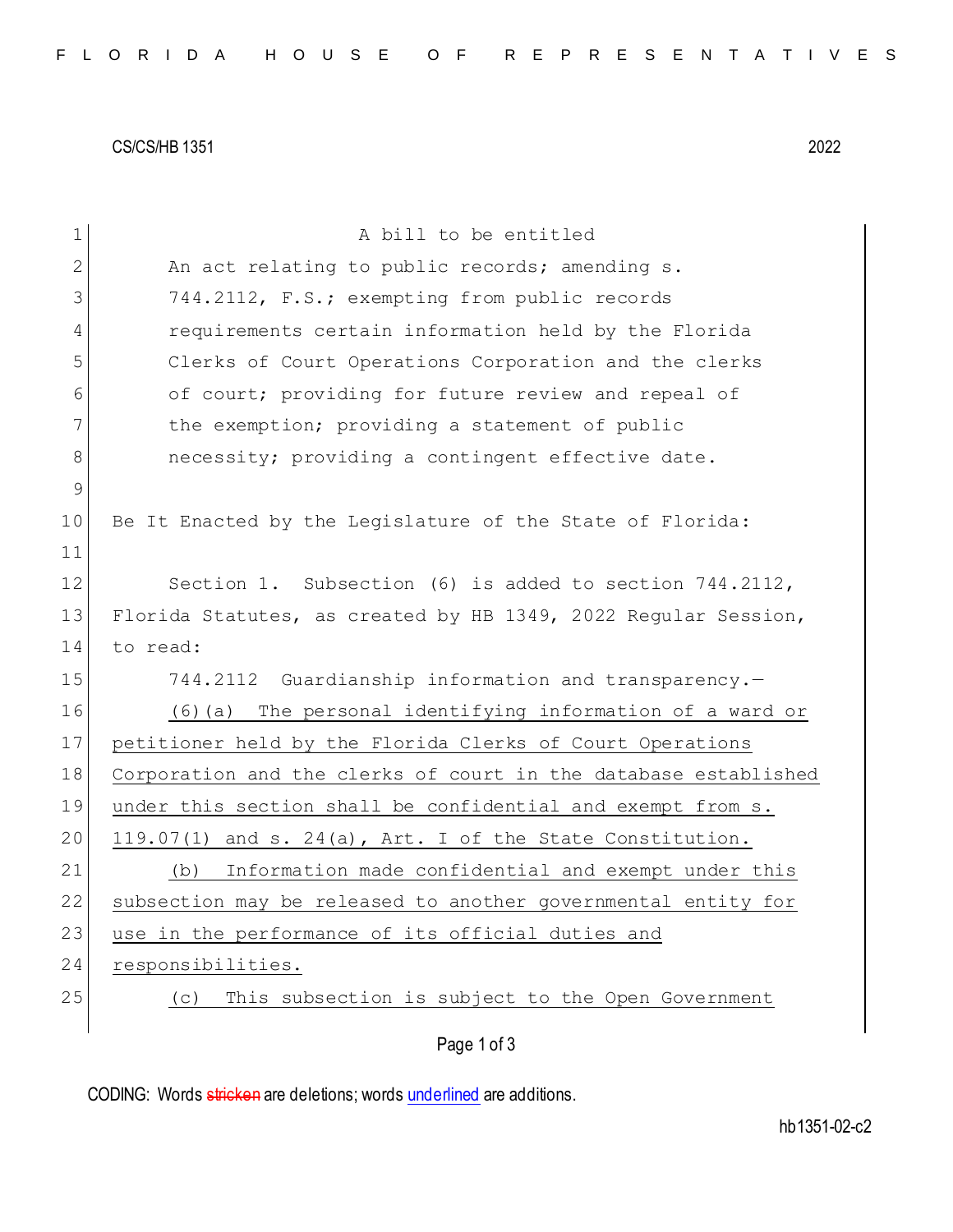CS/CS/HB 1351 2022

| $\mathbf 1$ | A bill to be entitled                                           |
|-------------|-----------------------------------------------------------------|
| 2           | An act relating to public records; amending s.                  |
| 3           | 744.2112, F.S.; exempting from public records                   |
| 4           | requirements certain information held by the Florida            |
| 5           | Clerks of Court Operations Corporation and the clerks           |
| 6           | of court; providing for future review and repeal of             |
| 7           | the exemption; providing a statement of public                  |
| 8           | necessity; providing a contingent effective date.               |
| 9           |                                                                 |
| 10          | Be It Enacted by the Legislature of the State of Florida:       |
| 11          |                                                                 |
| 12          | Section 1. Subsection (6) is added to section 744.2112,         |
| 13          | Florida Statutes, as created by HB 1349, 2022 Regular Session,  |
| 14          | to read:                                                        |
| 15          | 744.2112 Guardianship information and transparency.-            |
| 16          | (6)(a) The personal identifying information of a ward or        |
| 17          | petitioner held by the Florida Clerks of Court Operations       |
| 18          | Corporation and the clerks of court in the database established |
| 19          | under this section shall be confidential and exempt from s.     |
| 20          | 119.07(1) and s. 24(a), Art. I of the State Constitution.       |
| 21          | Information made confidential and exempt under this<br>(b)      |
| 22          | subsection may be released to another governmental entity for   |
| 23          | use in the performance of its official duties and               |
| 24          | responsibilities.                                               |
| 25          | This subsection is subject to the Open Government<br>(C)        |
|             | Page 1 of 3                                                     |

CODING: Words stricken are deletions; words underlined are additions.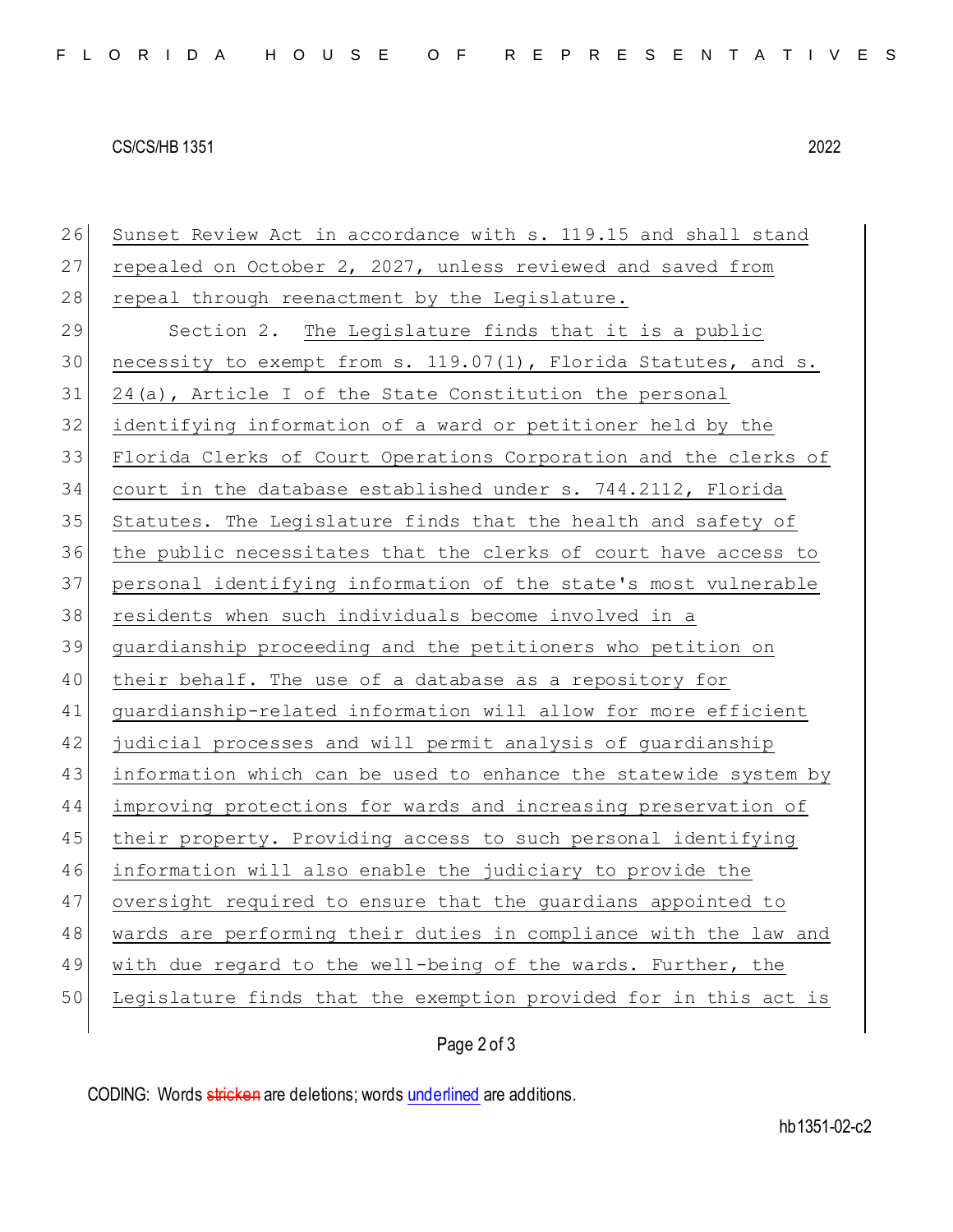## CS/CS/HB 1351 2022

26 Sunset Review Act in accordance with s. 119.15 and shall stand 27 repealed on October 2, 2027, unless reviewed and saved from 28 repeal through reenactment by the Legislature. 29 Section 2. The Legislature finds that it is a public 30 necessity to exempt from s. 119.07(1), Florida Statutes, and s. 24(a), Article I of the State Constitution the personal identifying information of a ward or petitioner held by the Florida Clerks of Court Operations Corporation and the clerks of court in the database established under s. 744.2112, Florida Statutes. The Legislature finds that the health and safety of the public necessitates that the clerks of court have access to personal identifying information of the state's most vulnerable residents when such individuals become involved in a guardianship proceeding and the petitioners who petition on their behalf. The use of a database as a repository for guardianship-related information will allow for more efficient 42 judicial processes and will permit analysis of guardianship information which can be used to enhance the statewide system by improving protections for wards and increasing preservation of 45 their property. Providing access to such personal identifying information will also enable the judiciary to provide the oversight required to ensure that the guardians appointed to wards are performing their duties in compliance with the law and 49 with due regard to the well-being of the wards. Further, the Legislature finds that the exemption provided for in this act is

## Page 2 of 3

CODING: Words stricken are deletions; words underlined are additions.